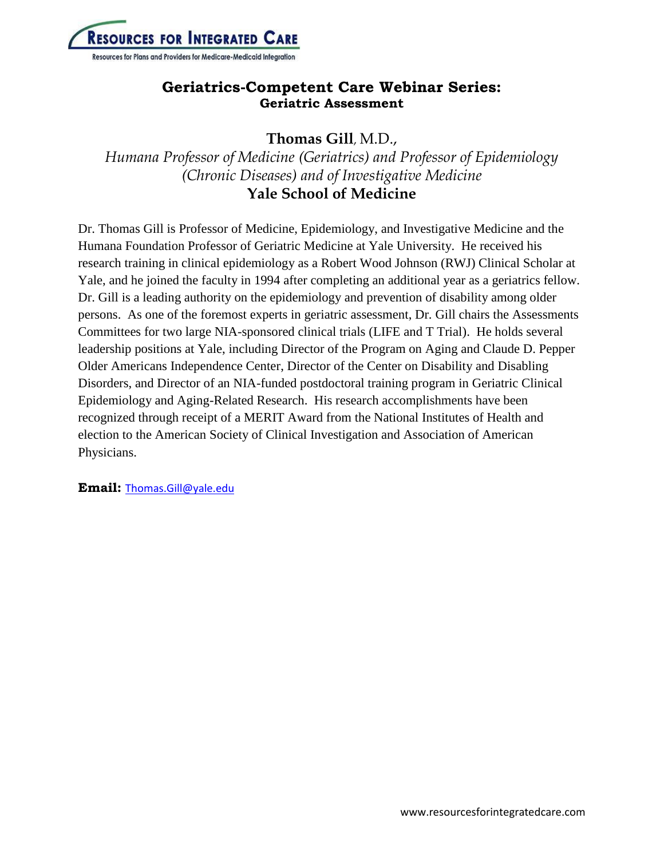

## **Geriatrics-Competent Care Webinar Series: Geriatric Assessment**

**Thomas Gill**, M.D.,

*Humana Professor of Medicine (Geriatrics) and Professor of Epidemiology (Chronic Diseases) and of Investigative Medicine* **Yale School of Medicine**

Dr. Thomas Gill is Professor of Medicine, Epidemiology, and Investigative Medicine and the Humana Foundation Professor of Geriatric Medicine at Yale University. He received his research training in clinical epidemiology as a Robert Wood Johnson (RWJ) Clinical Scholar at Yale, and he joined the faculty in 1994 after completing an additional year as a geriatrics fellow. Dr. Gill is a leading authority on the epidemiology and prevention of disability among older persons. As one of the foremost experts in geriatric assessment, Dr. Gill chairs the Assessments Committees for two large NIA-sponsored clinical trials (LIFE and T Trial). He holds several leadership positions at Yale, including Director of the Program on Aging and Claude D. Pepper Older Americans Independence Center, Director of the Center on Disability and Disabling Disorders, and Director of an NIA-funded postdoctoral training program in Geriatric Clinical Epidemiology and Aging-Related Research. His research accomplishments have been recognized through receipt of a MERIT Award from the National Institutes of Health and election to the American Society of Clinical Investigation and Association of American Physicians.

**Email:** [Thomas.Gill@yale.edu](mailto:Thomas.Gill@yale.edu)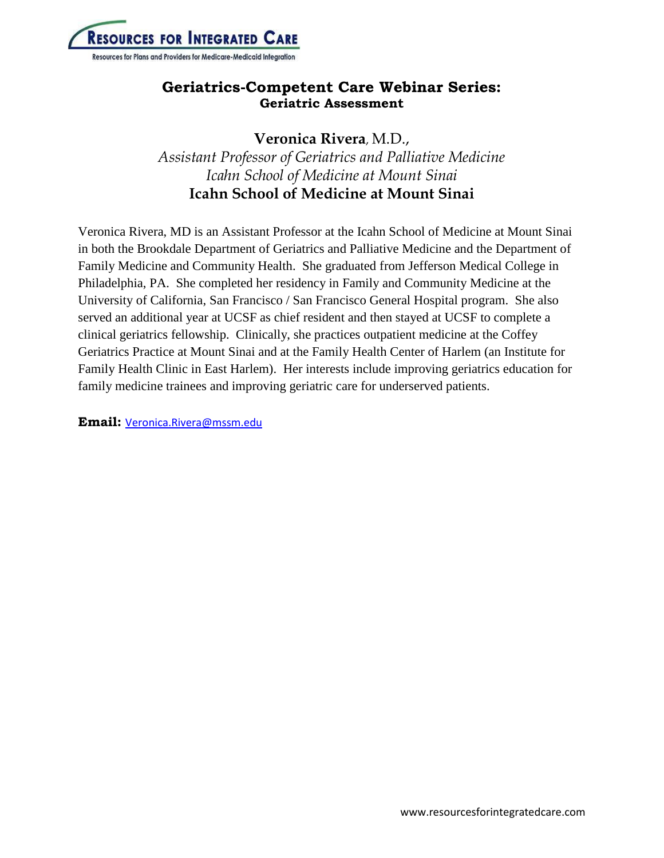

## **Geriatrics-Competent Care Webinar Series: Geriatric Assessment**

**Veronica Rivera**, M.D., *Assistant Professor of Geriatrics and Palliative Medicine Icahn School of Medicine at Mount Sinai* **Icahn School of Medicine at Mount Sinai**

Veronica Rivera, MD is an Assistant Professor at the Icahn School of Medicine at Mount Sinai in both the Brookdale Department of Geriatrics and Palliative Medicine and the Department of Family Medicine and Community Health. She graduated from Jefferson Medical College in Philadelphia, PA. She completed her residency in Family and Community Medicine at the University of California, San Francisco / San Francisco General Hospital program. She also served an additional year at UCSF as chief resident and then stayed at UCSF to complete a clinical geriatrics fellowship. Clinically, she practices outpatient medicine at the Coffey Geriatrics Practice at Mount Sinai and at the Family Health Center of Harlem (an Institute for Family Health Clinic in East Harlem). Her interests include improving geriatrics education for family medicine trainees and improving geriatric care for underserved patients.

**Email:** [Veronica.Rivera@mssm.edu](mailto:Veronica.Rivera@mssm.edu)